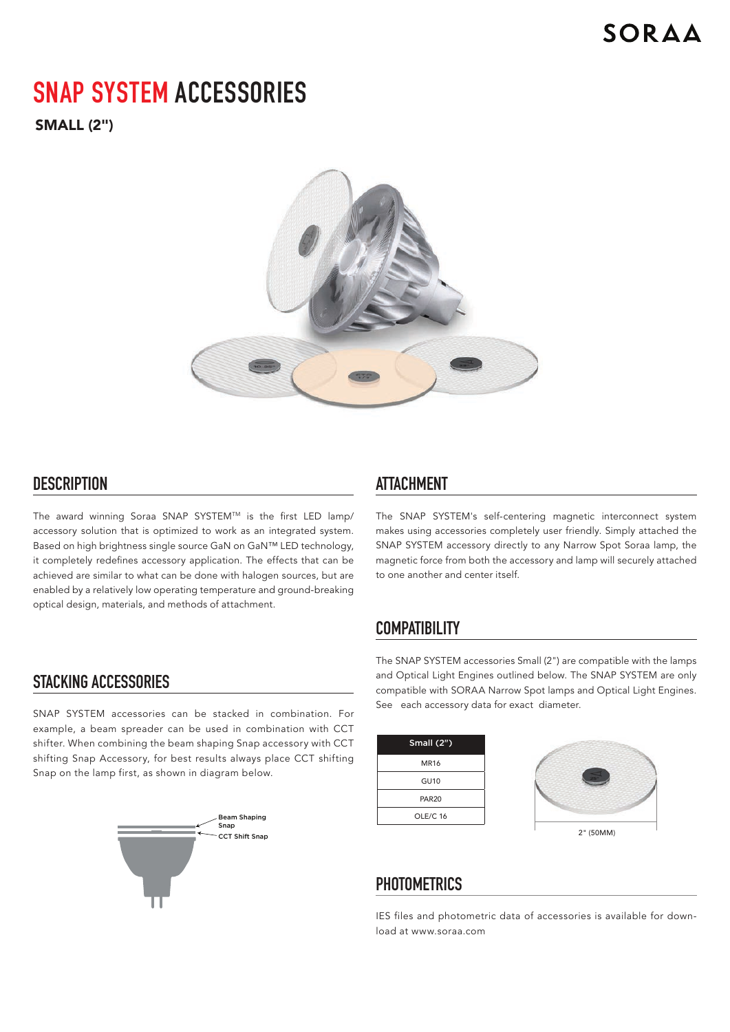# **SNAP SYSTEM ACCESSORIES**

SMALL (2")



## **DESCRIPTION ATTACHMENT**

The award winning Soraa SNAP SYSTEM™ is the first LED lamp/ accessory solution that is optimized to work as an integrated system. Based on high brightness single source GaN on GaN™ LED technology, it completely redefines accessory application. The effects that can be achieved are similar to what can be done with halogen sources, but are enabled by a relatively low operating temperature and ground-breaking optical design, materials, and methods of attachment.

## **STACKING ACCESSORIES**

SNAP SYSTEM accessories can be stacked in combination. For example, a beam spreader can be used in combination with CCT shifter. When combining the beam shaping Snap accessory with CCT shifting Snap Accessory, for best results always place CCT shifting Snap on the lamp first, as shown in diagram below.



The SNAP SYSTEM's self-centering magnetic interconnect system makes using accessories completely user friendly. Simply attached the SNAP SYSTEM accessory directly to any Narrow Spot Soraa lamp, the magnetic force from both the accessory and lamp will securely attached to one another and center itself.

## **COMPATIBILITY**

The SNAP SYSTEM accessories Small (2") are compatible with the lamps and Optical Light Engines outlined below. The SNAP SYSTEM are only compatible with SORAA Narrow Spot lamps and Optical Light Engines. See each accessory data for exact diameter.

| Small (2")   |
|--------------|
| MR16         |
| <b>GU10</b>  |
| <b>PAR20</b> |
| OLE/C 16     |
|              |



## **PHOTOMETRICS**

IES files and photometric data of accessories is available for download at www.soraa.com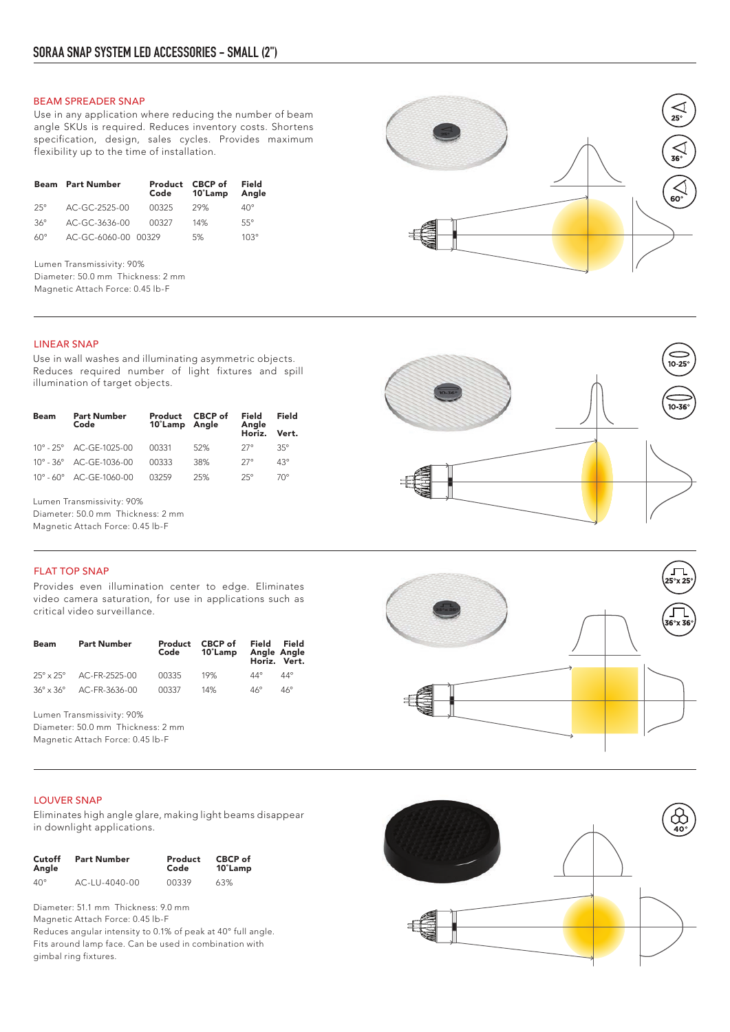### BEAM SPREADER SNAP

Use in any application where reducing the number of beam angle SKUs is required. Reduces inventory costs. Shortens specification, design, sales cycles. Provides maximum flexibility up to the time of installation.

| <b>Beam</b>  | <b>Part Number</b>  | Product<br>Code | CBCP of<br>10 <sup>°</sup> Lamp | Field<br>Angle |
|--------------|---------------------|-----------------|---------------------------------|----------------|
| $25^{\circ}$ | AC-GC-2525-00       | 00325           | 29%                             | $40^{\circ}$   |
| $36^\circ$   | AC-GC-3636-00       | 00327           | 14%                             | $55^\circ$     |
| $60^\circ$   | AC-GC-6060-00 00329 |                 | 5%                              | $10.3^\circ$   |

Lumen Transmissivity: 90% Diameter: 50.0 mm Thickness: 2 mm Magnetic Attach Force: 0.45 lb-F

#### LINEAR SNAP

Use in wall washes and illuminating asymmetric objects. Reduces required number of light fixtures and spill illumination of target objects.

| Beam | <b>Part Number</b><br>Code              | Product<br>10°Lamp Angle | CBCP of | Field<br>Angle<br>Horiz. | Field<br>Vert. |
|------|-----------------------------------------|--------------------------|---------|--------------------------|----------------|
|      | $10^{\circ} - 25^{\circ}$ AC-GE-1025-00 | 00331                    | 52%     | $27^\circ$               | $35^\circ$     |
|      | $10^{\circ} - 36^{\circ}$ AC-GE-1036-00 | 00333                    | 38%     | $27^\circ$               | $43^\circ$     |
|      | 10° - 60° AC-GE-1060-00                 | 03259                    | 25%     | $25^\circ$               | 70°            |

Lumen Transmissivity: 90%

Diameter: 50.0 mm Thickness: 2 mm

Magnetic Attach Force: 0.45 lb-F

#### FLAT TOP SNAP

Provides even illumination center to edge. Eliminates video camera saturation, for use in applications such as critical video surveillance.

| Beam                       | <b>Part Number</b> | Product<br>Code | CBCP of<br>10°Lamp | Field<br>Angle Angle<br>Horiz. Vert. | Field |
|----------------------------|--------------------|-----------------|--------------------|--------------------------------------|-------|
| $25^\circ \times 25^\circ$ | AC-FR-2525-00      | 00335           | 19%                | $44^{\circ}$                         | 44°   |
| $36^\circ \times 36^\circ$ | AC-FR-3636-00      | 00337           | 14%                | $46^\circ$                           | 46°   |

Lumen Transmissivity: 90%

Diameter: 50.0 mm Thickness: 2 mm Magnetic Attach Force: 0.45 lb-F



#### LOUVER SNAP

Eliminates high angle glare, making light beams disappear in downlight applications.

| Cutoff       | <b>Part Number</b> | Product | CBCP of |
|--------------|--------------------|---------|---------|
| Angle        |                    | Code    | 10°Lamp |
| $40^{\circ}$ | AC-LU-4040-00      | 00339   | 63%     |

Diameter: 51.1 mm Thickness: 9.0 mm Magnetic Attach Force: 0.45 lb-F Reduces angular intensity to 0.1% of peak at 40° full angle. Fits around lamp face. Can be used in combination with gimbal ring fixtures.





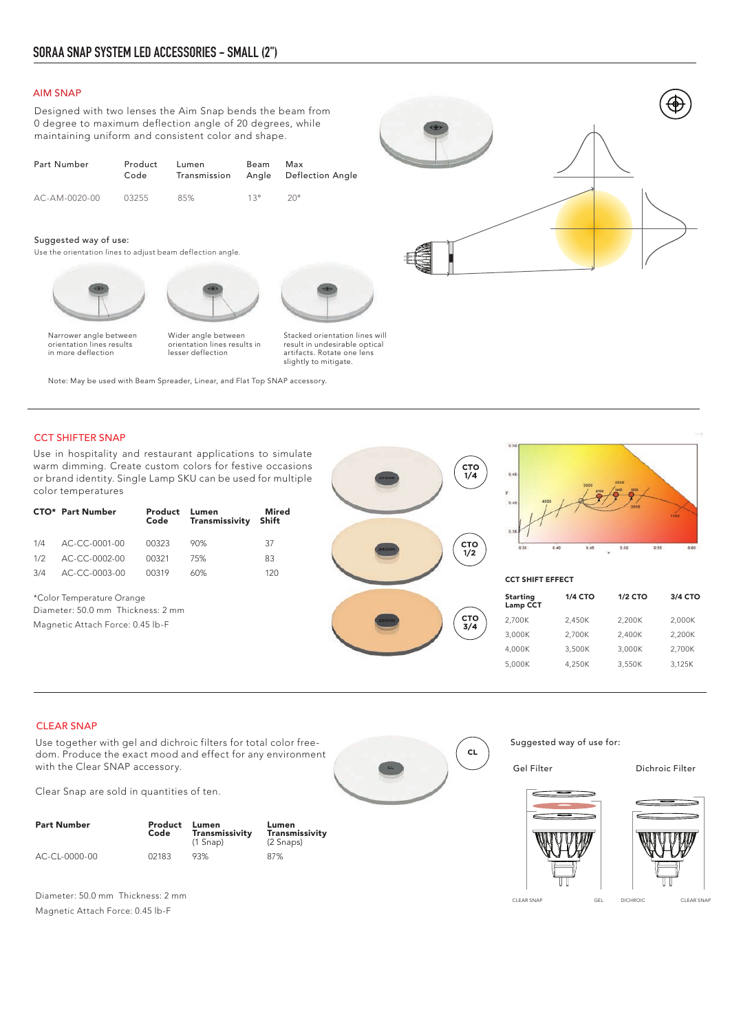#### AIM SNAP

Designed with two lenses the Aim Snap bends the beam from 0 degree to maximum deflection angle of 20 degrees, while maintaining uniform and consistent color and shape.

| <b>Part Number</b> | Product<br>Code | Lumen<br>Transmission | Beam | Max<br>Angle Deflection Angle |
|--------------------|-----------------|-----------------------|------|-------------------------------|
| AC-AM-0020-00      | 03255           | 85%                   | 130  | $20^{\circ}$                  |

#### Suggested way of use:

Use the orientation lines to adjust beam deflection angle.



Narrower angle between orientation lines results in more deflection

Wider angle between orientation lines results in lesser deflection

Stacked orientation lines will result in undesirable optical artifacts. Rotate one lens slightly to mitigate.

Note: May be used with Beam Spreader, Linear, and Flat Top SNAP accessory.

#### CCT SHIFTER SNAP

Use in hospitality and restaurant applications to simulate warm dimming. Create custom colors for festive occasions or brand identity. Single Lamp SKU can be used for multiple color temperatures

|     | <b>CTO*</b> Part Number | Product<br>Code | Lumen<br>Transmissivity Shift | <b>Mired</b> |
|-----|-------------------------|-----------------|-------------------------------|--------------|
|     | 1/4 AC-CC-0001-00       | 00323           | 90%                           | 37           |
| 1/2 | AC-CC-0002-00           | 00321           | 75%                           | 83           |
|     | 3/4 AC-CC-0003-00       | 00319           | ሐበ%                           | 120          |

\*Color Temperature Orange Diameter: 50.0 mm Thickness: 2 mm Magnetic Attach Force: 0.45 lb-F





| <b>CCT SHIFT EFFECT</b>     |                |                |         |  |  |
|-----------------------------|----------------|----------------|---------|--|--|
| <b>Starting</b><br>Lamp CCT | <b>1/4 CTO</b> | <b>1/2 CTO</b> | 3/4 CTO |  |  |
| 2,700K                      | 2.450K         | 2.200K         | 2.000K  |  |  |
| 3,000K                      | 2,700K         | 2,400K         | 2.200K  |  |  |
| 4.000K                      | 3.500K         | 3.000K         | 2.700K  |  |  |
| 5,000K                      | 4.250K         | 3,550K         | 3,125K  |  |  |
|                             |                |                |         |  |  |

#### CLEAR SNAP

Use together with gel and dichroic filters for total color freedom. Produce the exact mood and effect for any environment with the Clear SNAP accessory.

Clear Snap are sold in quantities of ten.

| <b>Part Number</b> | Product<br>Code | Lumen<br>Transmissivity<br>$(1$ Snap) | Lumen<br>Transmissivity<br>(2 Snaps) |
|--------------------|-----------------|---------------------------------------|--------------------------------------|
| AC-CL-0000-00      | 02183           | 93%                                   | 87%                                  |

Diameter: 50.0 mm Thickness: 2 mm Magnetic Attach Force: 0.45 lb-F



Suggested way of use for: Gel Filter Dichroic Filter





CLEAR SNAP GEL DICHROIC CLEAR SNAP